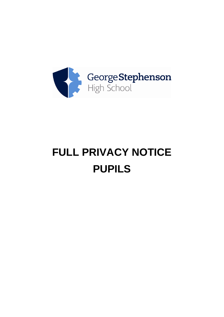

# **FULL PRIVACY NOTICE PUPILS**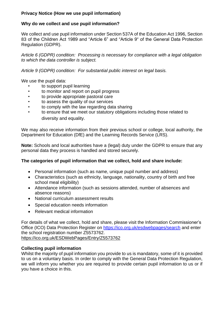# **Privacy Notice (How we use pupil information)**

# **Why do we collect and use pupil information?**

We collect and use pupil information under Section 537A of the Education Act 1996, Section 83 of the Children Act 1989 and "Article 6" and "Article 9" of the General Data Protection Regulation (GDPR).

*Article 6 (GDPR) condition: Processing is necessary for compliance with a legal obligation to which the data controller is subject.*

*Article 9 (GDPR) condition: For substantial public interest on legal basis.*

We use the pupil data:

- to support pupil learning
- to monitor and report on pupil progress
- to provide appropriate pastoral care
- to assess the quality of our services
- to comply with the law regarding data sharing
- to ensure that we meet our statutory obligations including those related to diversity and equality.

We may also receive information from their previous school or college, local authority, the Department for Education (DfE) and the Learning Records Service (LRS).

**Note:** Schools and local authorities have a (legal) duty under the GDPR to ensure that any personal data they process is handled and stored securely.

# **The categories of pupil information that we collect, hold and share include:**

- Personal information (such as name, unique pupil number and address)
- Characteristics (such as ethnicity, language, nationality, country of birth and free school meal eligibility)
- Attendance information (such as sessions attended, number of absences and absence reasons)
- National curriculum assessment results
- Special education needs information
- Relevant medical information

For details of what we collect, hold and share, please visit the Information Commissioner's Office (ICO) Data Protection Register on<https://ico.org.uk/esdwebpages/search> and enter the school registration number Z5573762. <https://ico.org.uk/ESDWebPages/Entry/Z5573762>

# **Collecting pupil information**

Whilst the majority of pupil information you provide to us is mandatory, some of it is provided to us on a voluntary basis. In order to comply with the General Data Protection Regulation, we will inform you whether you are required to provide certain pupil information to us or if you have a choice in this.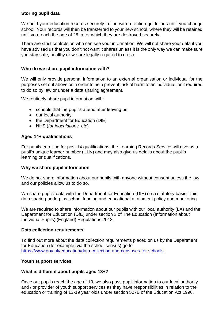# **Storing pupil data**

We hold your education records securely in line with retention guidelines until you change school. Your records will then be transferred to your new school, where they will be retained until you reach the age of 25, after which they are destroyed securely.

There are strict controls on who can see your information. We will not share your data if you have advised us that you don't not want it shares unless it is the only way we can make sure you stay safe, healthy or we are legally required to do so.

# **Who do we share pupil information with?**

We will only provide personal information to an external organisation or individual for the purposes set out above or in order to help prevent; risk of harm to an individual, or if required to do so by law or under a data sharing agreement.

We routinely share pupil information with:

- schools that the pupil's attend after leaving us
- our local authority
- the Department for Education (DfE)
- NHS (*for inoculations, etc*)

## **Aged 14+ qualifications**

For pupils enrolling for post 14 qualifications, the Learning Records Service will give us a pupil's unique learner number (ULN) and may also give us details about the pupil's learning or qualifications.

#### **Why we share pupil information**

We do not share information about our pupils with anyone without consent unless the law and our policies allow us to do so.

We share pupils' data with the Department for Education (DfE) on a statutory basis. This data sharing underpins school funding and educational attainment policy and monitoring.

We are required to share information about our pupils with our local authority (LA) and the Department for Education (DfE) under section 3 of The Education (Information about Individual Pupils) (England) Regulations 2013.

#### **Data collection requirements:**

To find out more about the data collection requirements placed on us by the Department for Education (for example; via the school census) go to [https://www.gov.uk/education/data-collection-and-censuses-for-schools.](https://www.gov.uk/education/data-collection-and-censuses-for-schools)

#### **Youth support services**

#### **What is different about pupils aged 13+?**

Once our pupils reach the age of 13, we also pass pupil information to our local authority and / or provider of youth support services as they have responsibilities in relation to the education or training of 13-19 year olds under section 507B of the Education Act 1996.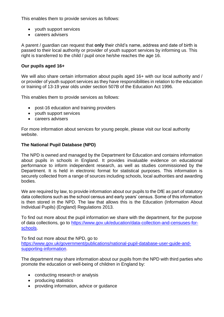This enables them to provide services as follows:

- youth support services
- careers advisers

A parent / guardian can request that **only** their child's name, address and date of birth is passed to their local authority or provider of youth support services by informing us. This right is transferred to the child / pupil once he/she reaches the age 16.

## **Our pupils aged 16+**

We will also share certain information about pupils aged 16+ with our local authority and / or provider of youth support services as they have responsibilities in relation to the education or training of 13-19 year olds under section 507B of the Education Act 1996.

This enables them to provide services as follows:

- post-16 education and training providers
- youth support services
- careers advisers

For more information about services for young people, please visit our local authority website.

## **The National Pupil Database (NPD)**

The NPD is owned and managed by the Department for Education and contains information about pupils in schools in England. It provides invaluable evidence on educational performance to inform independent research, as well as studies commissioned by the Department. It is held in electronic format for statistical purposes. This information is securely collected from a range of sources including schools, local authorities and awarding bodies.

We are required by law, to provide information about our pupils to the DfE as part of statutory data collections such as the school census and early years' census. Some of this information is then stored in the NPD. The law that allows this is the Education (Information About Individual Pupils) (England) Regulations 2013.

To find out more about the pupil information we share with the department, for the purpose of data collections, go to [https://www.gov.uk/education/data-collection-and-censuses-for](https://www.gov.uk/education/data-collection-and-censuses-for-schools)[schools.](https://www.gov.uk/education/data-collection-and-censuses-for-schools)

To find out more about the NPD, go to [https://www.gov.uk/government/publications/national-pupil-database-user-guide-and](https://www.gov.uk/government/publications/national-pupil-database-user-guide-and-supporting-information)[supporting-information.](https://www.gov.uk/government/publications/national-pupil-database-user-guide-and-supporting-information)

The department may share information about our pupils from the NPD with third parties who promote the education or well-being of children in England by:

- conducting research or analysis
- producing statistics
- providing information, advice or guidance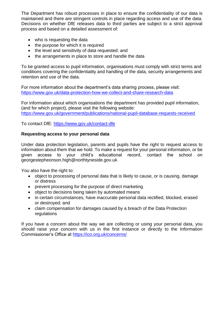The Department has robust processes in place to ensure the confidentiality of our data is maintained and there are stringent controls in place regarding access and use of the data. Decisions on whether DfE releases data to third parties are subject to a strict approval process and based on a detailed assessment of:

- who is requesting the data
- the purpose for which it is required
- the level and sensitivity of data requested: and
- the arrangements in place to store and handle the data

To be granted access to pupil information, organisations must comply with strict terms and conditions covering the confidentiality and handling of the data, security arrangements and retention and use of the data.

For more information about the department's data sharing process, please visit: <https://www.gov.uk/data-protection-how-we-collect-and-share-research-data>

For information about which organisations the department has provided pupil information, (and for which project), please visit the following website: <https://www.gov.uk/government/publications/national-pupil-database-requests-received>

To contact DfE:<https://www.gov.uk/contact-dfe>

## **Requesting access to your personal data**

Under data protection legislation, parents and pupils have the right to request access to information about them that we hold. To make a request for your personal information, or be given access to your child's educational record, contact the school on georgestepheonson.high@northtyneside.gov.uk

You also have the right to:

- object to processing of personal data that is likely to cause, or is causing, damage or distress
- prevent processing for the purpose of direct marketing
- object to decisions being taken by automated means
- in certain circumstances, have inaccurate personal data rectified, blocked, erased or destroyed; and
- claim compensation for damages caused by a breach of the Data Protection regulations

If you have a concern about the way we are collecting or using your personal data, you should raise your concern with us in the first instance or directly to the Information Commissioner's Office at<https://ico.org.uk/concerns/>